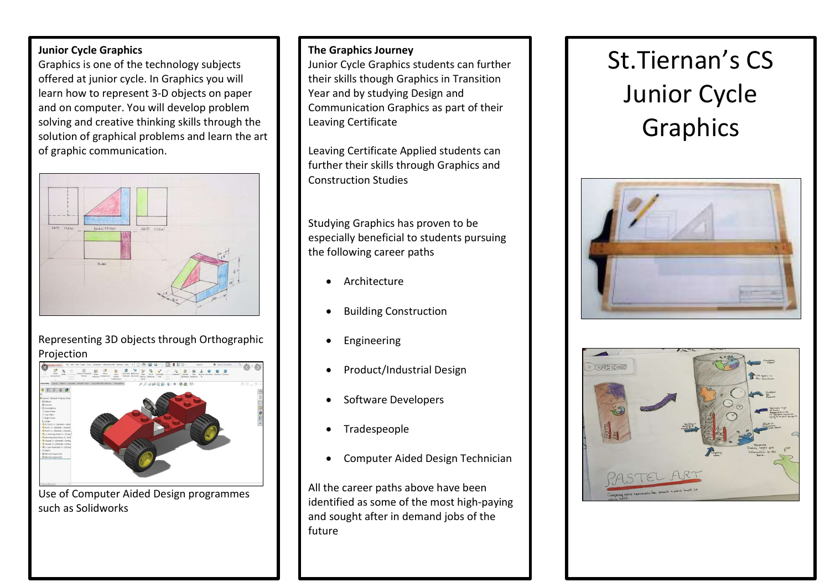## Junior Cycle Graphics

Graphics is one of the technology subjects offered at junior cycle. In Graphics you will learn how to represent 3-D objects on paper and on computer. You will develop problem solving and creative thinking skills through the solution of graphical problems and learn the art of graphic communication.



## Representing 3D objects through Orthographic Projection



Use of Computer Aided Design programmes such as Solidworks

#### The Graphics Journey

Junior Cycle Graphics students can further their skills though Graphics in Transition Year and by studying Design and Communication Graphics as part of their Leaving Certificate

Leaving Certificate Applied students can further their skills through Graphics and Construction Studies

Studying Graphics has proven to be especially beneficial to students pursuing the following career paths

- Architecture
- Building Construction
- Engineering
- Product/Industrial Design
- Software Developers
- Tradespeople
- Computer Aided Design Technician

All the career paths above have been identified as some of the most high-paying and sought after in demand jobs of the future

# St.Tiernan's CS Junior Cycle Graphics